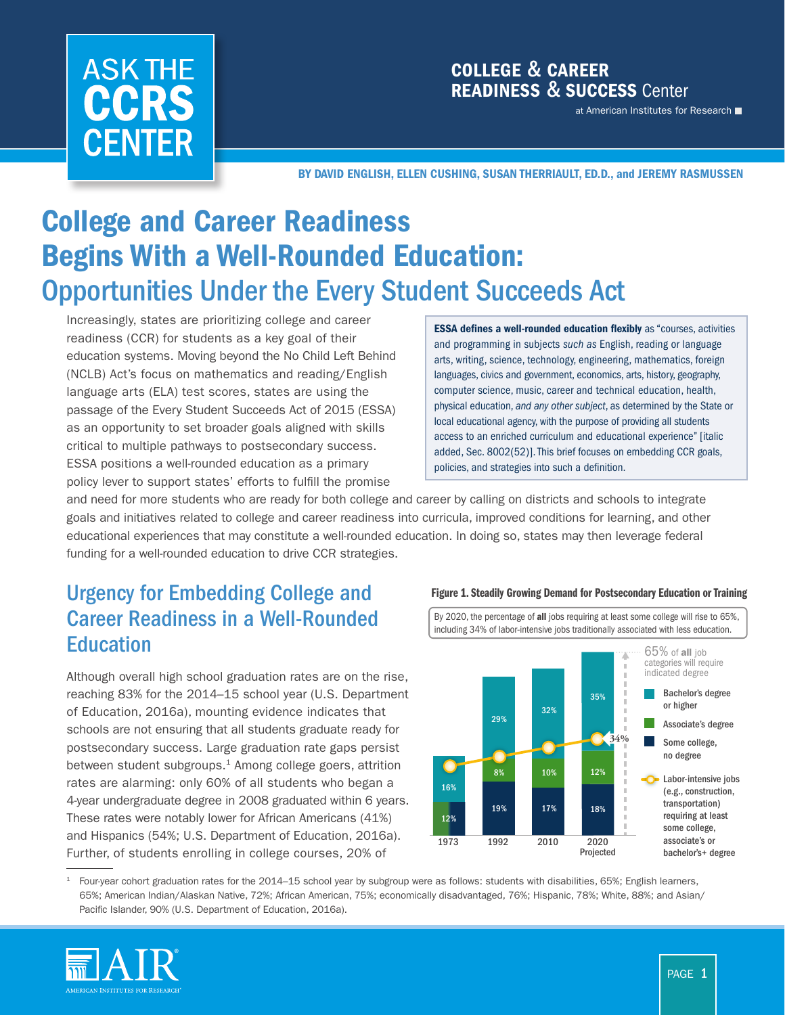# **ASK THE** CCRS **CENTER**

### COLLEGE & CAREER READINESS & SUCCESS Center

at American Institutes for Research

BY DAVID ENGLISH, ELLEN CUSHING, SUSAN THERRIAULT, ED.D., and JEREMY RASMUSSEN

# College and Career Readiness Begins With a Well-Rounded Education: Opportunities Under the Every Student Succeeds Act

Increasingly, states are prioritizing college and career readiness (CCR) for students as a key goal of their education systems. Moving beyond the No Child Left Behind (NCLB) Act's focus on mathematics and reading/English language arts (ELA) test scores, states are using the passage of the Every Student Succeeds Act of 2015 (ESSA) as an opportunity to set broader goals aligned with skills critical to multiple pathways to postsecondary success. ESSA positions a well-rounded education as a primary policy lever to support states' efforts to fulfill the promise

ESSA defines a well-rounded education flexibly as "courses, activities and programming in subjects *such as* English, reading or language arts, writing, science, technology, engineering, mathematics, foreign languages, civics and government, economics, arts, history, geography, computer science, music, career and technical education, health, physical education, *and any other subject*, as determined by the State or local educational agency, with the purpose of providing all students access to an enriched curriculum and educational experience'' [italic added, Sec. 8002(52)]. This brief focuses on embedding CCR goals, policies, and strategies into such a definition.

and need for more students who are ready for both college and career by calling on districts and schools to integrate goals and initiatives related to college and career readiness into curricula, improved conditions for learning, and other educational experiences that may constitute a well-rounded education. In doing so, states may then leverage federal funding for a well-rounded education to drive CCR strategies.

# Urgency for Embedding College and Career Readiness in a Well-Rounded **Education**

Although overall high school graduation rates are on the rise, reaching 83% for the 2014–15 school year (U.S. Department of Education, 2016a), mounting evidence indicates that schools are not ensuring that all students graduate ready for postsecondary success. Large graduation rate gaps persist between student subgroups.<sup>1</sup> Among college goers, attrition rates are alarming: only 60% of all students who began a 4-year undergraduate degree in 2008 graduated within 6 years. These rates were notably lower for African Americans (41%) and Hispanics (54%; U.S. Department of Education, 2016a). Further, of students enrolling in college courses, 20% of



 $1$  Four-year cohort graduation rates for the 2014–15 school year by subgroup were as follows: students with disabilities, 65%; English learners, 65%; American Indian/Alaskan Native, 72%; African American, 75%; economically disadvantaged, 76%; Hispanic, 78%; White, 88%; and Asian/ Pacific Islander, 90% (U.S. Department of Education, 2016a).



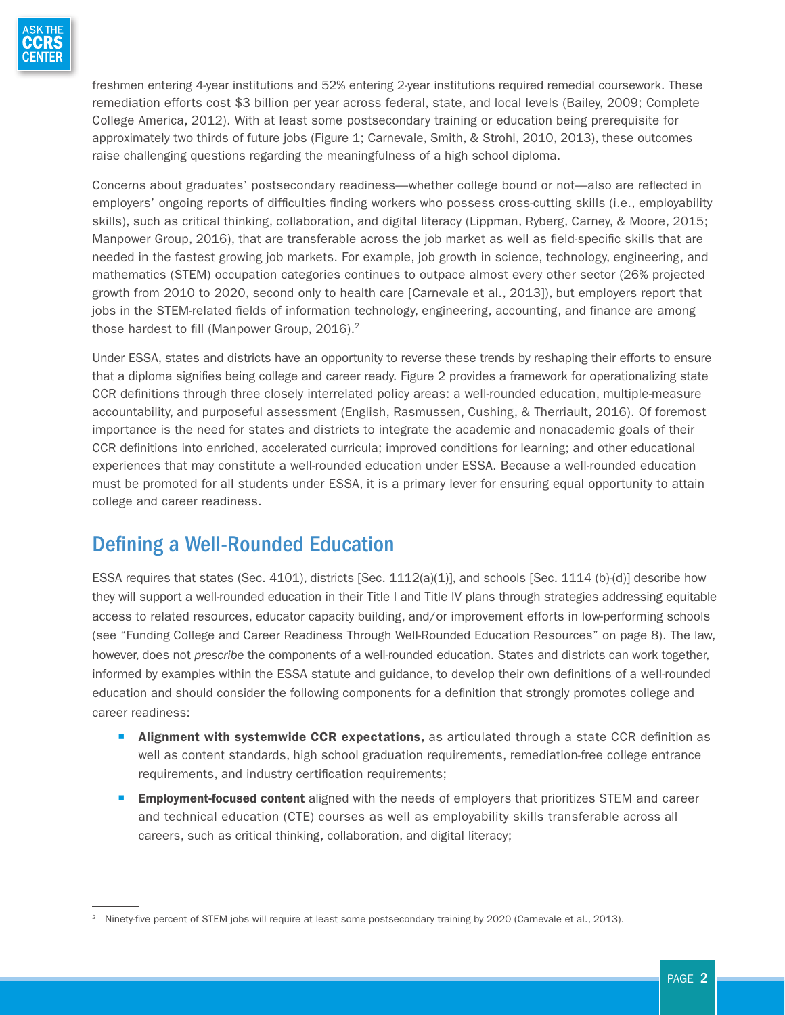

freshmen entering 4-year institutions and 52% entering 2-year institutions required remedial coursework. These remediation efforts cost \$3 billion per year across federal, state, and local levels (Bailey, 2009; Complete College America, 2012). With at least some postsecondary training or education being prerequisite for approximately two thirds of future jobs (Figure 1; Carnevale, Smith, & Strohl, 2010, 2013), these outcomes raise challenging questions regarding the meaningfulness of a high school diploma.

Concerns about graduates' postsecondary readiness—whether college bound or not—also are reflected in employers' ongoing reports of difficulties finding workers who possess cross-cutting skills (i.e., employability skills), such as critical thinking, collaboration, and digital literacy (Lippman, Ryberg, Carney, & Moore, 2015; Manpower Group, 2016), that are transferable across the job market as well as field-specific skills that are needed in the fastest growing job markets. For example, job growth in science, technology, engineering, and mathematics (STEM) occupation categories continues to outpace almost every other sector (26% projected growth from 2010 to 2020, second only to health care [Carnevale et al., 2013]), but employers report that jobs in the STEM-related fields of information technology, engineering, accounting, and finance are among those hardest to fill (Manpower Group, 2016).<sup>2</sup>

Under ESSA, states and districts have an opportunity to reverse these trends by reshaping their efforts to ensure that a diploma signifies being college and career ready. Figure 2 provides a framework for operationalizing state CCR definitions through three closely interrelated policy areas: a well-rounded education, multiple-measure accountability, and purposeful assessment (English, Rasmussen, Cushing, & Therriault, 2016). Of foremost importance is the need for states and districts to integrate the academic and nonacademic goals of their CCR definitions into enriched, accelerated curricula; improved conditions for learning; and other educational experiences that may constitute a well-rounded education under ESSA. Because a well-rounded education must be promoted for all students under ESSA, it is a primary lever for ensuring equal opportunity to attain college and career readiness.

# Defining a Well-Rounded Education

ESSA requires that states (Sec. 4101), districts [Sec. 1112(a)(1)], and schools [Sec. 1114 (b)-(d)] describe how they will support a well-rounded education in their Title I and Title IV plans through strategies addressing equitable access to related resources, educator capacity building, and/or improvement efforts in low-performing schools (see "Funding College and Career Readiness Through Well-Rounded Education Resources" on page 8). The law, however, does not *prescribe* the components of a well-rounded education. States and districts can work together, informed by examples within the ESSA statute and guidance, to develop their own definitions of a well-rounded education and should consider the following components for a definition that strongly promotes college and career readiness:

- **E** Alignment with systemwide CCR expectations, as articulated through a state CCR definition as well as content standards, high school graduation requirements, remediation-free college entrance requirements, and industry certification requirements;
- **Employment-focused content** aligned with the needs of employers that prioritizes STEM and career and technical education (CTE) courses as well as employability skills transferable across all careers, such as critical thinking, collaboration, and digital literacy;

<sup>&</sup>lt;sup>2</sup> Ninety-five percent of STEM jobs will require at least some postsecondary training by 2020 (Carnevale et al., 2013).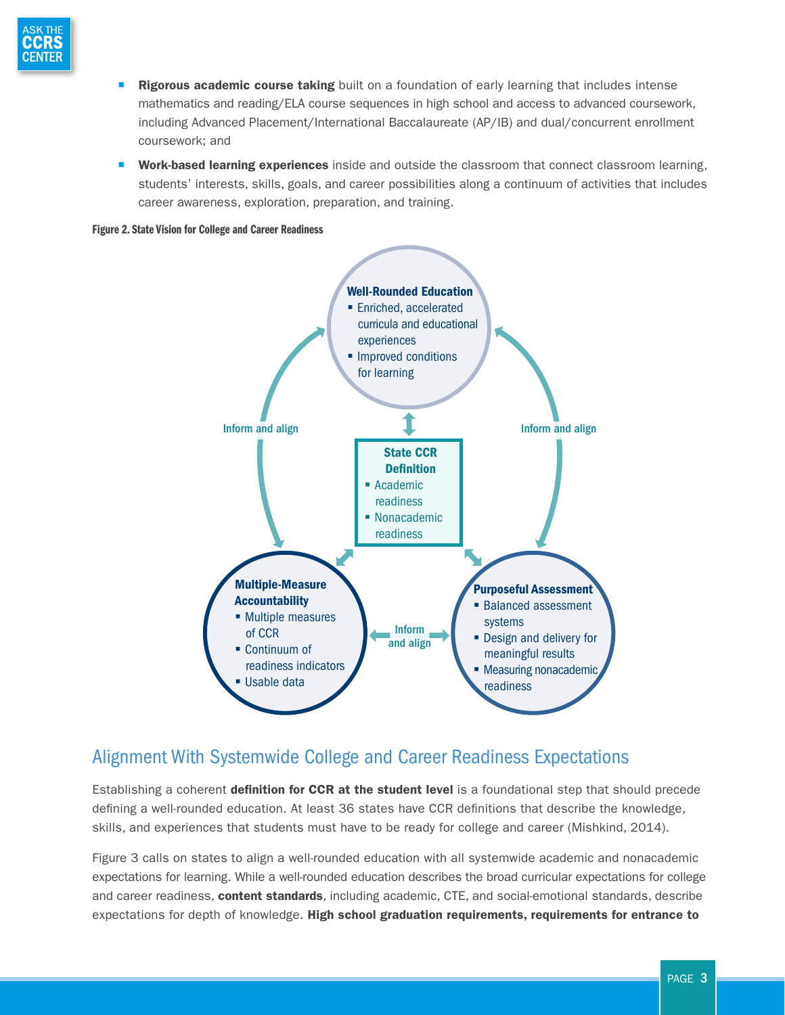

- Rigorous academic course taking built on a foundation of early learning that includes intense mathematics and reading/ELA course sequences in high school and access to advanced coursework, including Advanced Placement/International Baccalaureate (AP/IB) and dual/concurrent enrollment coursework; and
- Work-based learning experiences inside and outside the classroom that connect classroom learning, students' interests, skills, goals, and career possibilities along a continuum of activities that includes career awareness, exploration, preparation, and training.





### Alignment With Systemwide College and Career Readiness Expectations

Establishing a coherent definition for CCR at the student level is a foundational step that should precede defining a well-rounded education. At least 36 states have CCR definitions that describe the knowledge, skills, and experiences that students must have to be ready for college and career (Mishkind, 2014).

Figure 3 calls on states to align a well-rounded education with all systemwide academic and nonacademic expectations for learning. While a well-rounded education describes the broad curricular expectations for college and career readiness, content standards, including academic, CTE, and social-emotional standards, describe expectations for depth of knowledge. High school graduation requirements, requirements for entrance to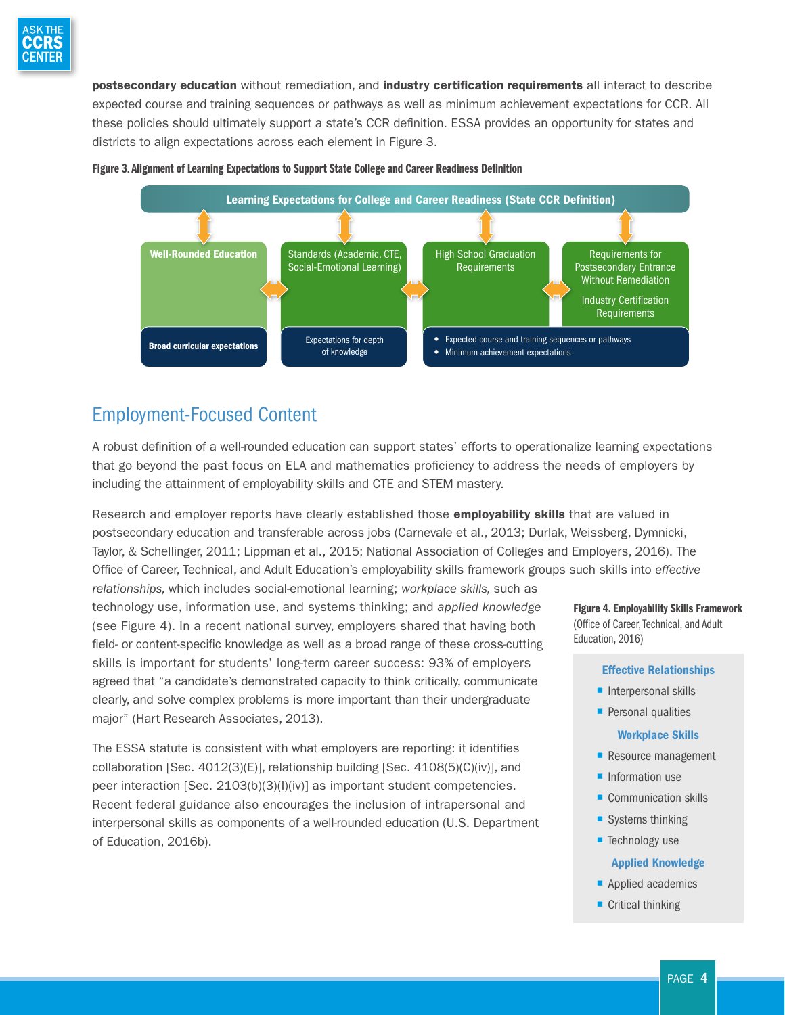

postsecondary education without remediation, and industry certification requirements all interact to describe expected course and training sequences or pathways as well as minimum achievement expectations for CCR. All these policies should ultimately support a state's CCR definition. ESSA provides an opportunity for states and districts to align expectations across each element in Figure 3.



#### Figure 3. Alignment of Learning Expectations to Support State College and Career Readiness Definition

### Employment-Focused Content

A robust definition of a well-rounded education can support states' efforts to operationalize learning expectations that go beyond the past focus on ELA and mathematics proficiency to address the needs of employers by including the attainment of employability skills and CTE and STEM mastery.

Research and employer reports have clearly established those **employability skills** that are valued in postsecondary education and transferable across jobs (Carnevale et al., 2013; Durlak, Weissberg, Dymnicki, Taylor, & Schellinger, 2011; Lippman et al., 2015; National Association of Colleges and Employers, 2016). The Office of Career, Technical, and Adult Education's employability skills framework groups such skills into *effective* 

*relationships,* which includes social-emotional learning; *workplace skills,* such as technology use, information use, and systems thinking; and *applied knowledge*  (see Figure 4). In a recent national survey, employers shared that having both field- or content-specific knowledge as well as a broad range of these cross-cutting skills is important for students' long-term career success: 93% of employers agreed that "a candidate's demonstrated capacity to think critically, communicate clearly, and solve complex problems is more important than their undergraduate major" (Hart Research Associates, 2013).

The ESSA statute is consistent with what employers are reporting: it identifies collaboration [Sec. 4012(3)(E)], relationship building [Sec. 4108(5)(C)(iv)], and peer interaction [Sec. 2103(b)(3)(I)(iv)] as important student competencies. Recent federal guidance also encourages the inclusion of intrapersonal and interpersonal skills as components of a well-rounded education (U.S. Department of Education, 2016b).

Figure 4. Employability Skills Framework (Office of Career, Technical, and Adult Education, 2016)

#### Effective Relationships

- $\blacksquare$  Interpersonal skills
- **Personal qualities**

#### Workplace Skills

- Resource management
- **·** Information use
- Communication skills
- $\blacksquare$  Systems thinking
- Technology use

#### Applied Knowledge

- Applied academics
- Critical thinking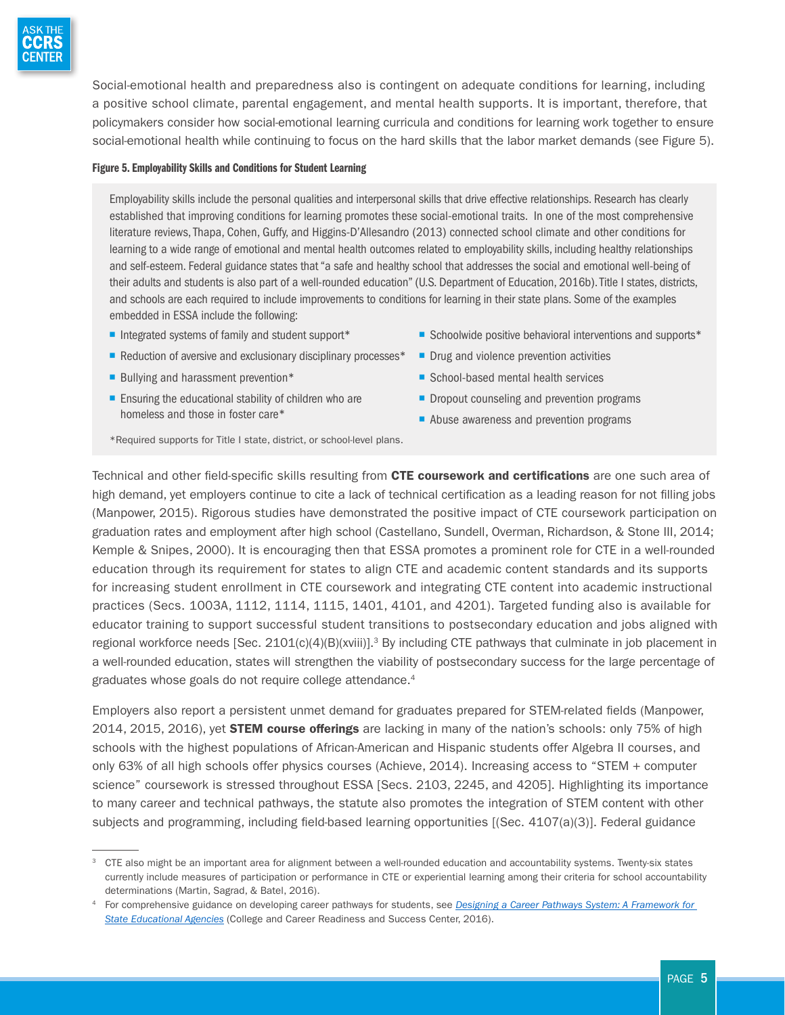

Social-emotional health and preparedness also is contingent on adequate conditions for learning, including a positive school climate, parental engagement, and mental health supports. It is important, therefore, that policymakers consider how social-emotional learning curricula and conditions for learning work together to ensure social-emotional health while continuing to focus on the hard skills that the labor market demands (see Figure 5).

#### Figure 5. Employability Skills and Conditions for Student Learning

Employability skills include the personal qualities and interpersonal skills that drive effective relationships. Research has clearly established that improving conditions for learning promotes these social-emotional traits. In one of the most comprehensive literature reviews, Thapa, Cohen, Guffy, and Higgins-D'Allesandro (2013) connected school climate and other conditions for learning to a wide range of emotional and mental health outcomes related to employability skills, including healthy relationships and self-esteem. Federal guidance states that "a safe and healthy school that addresses the social and emotional well-being of their adults and students is also part of a well-rounded education" (U.S. Department of Education, 2016b). Title I states, districts, and schools are each required to include improvements to conditions for learning in their state plans. Some of the examples embedded in ESSA include the following:

- $\blacksquare$  Integrated systems of family and student support\*
- Reduction of aversive and exclusionary disciplinary processes<sup>\*</sup>
- Bullying and harassment prevention\*
- $\blacksquare$  Ensuring the educational stability of children who are homeless and those in foster care\*
- Schoolwide positive behavioral interventions and supports\*
- Drug and violence prevention activities
- School-based mental health services
- Dropout counseling and prevention programs
- Abuse awareness and prevention programs

\*Required supports for Title I state, district, or school-level plans.

Technical and other field-specific skills resulting from CTE coursework and certifications are one such area of high demand, yet employers continue to cite a lack of technical certification as a leading reason for not filling jobs (Manpower, 2015). Rigorous studies have demonstrated the positive impact of CTE coursework participation on graduation rates and employment after high school (Castellano, Sundell, Overman, Richardson, & Stone III, 2014; Kemple & Snipes, 2000). It is encouraging then that ESSA promotes a prominent role for CTE in a well-rounded education through its requirement for states to align CTE and academic content standards and its supports for increasing student enrollment in CTE coursework and integrating CTE content into academic instructional practices (Secs. 1003A, 1112, 1114, 1115, 1401, 4101, and 4201). Targeted funding also is available for educator training to support successful student transitions to postsecondary education and jobs aligned with regional workforce needs [Sec. 2101(c)(4)(B)(xviii)].<sup>3</sup> By including CTE pathways that culminate in job placement in a well-rounded education, states will strengthen the viability of postsecondary success for the large percentage of graduates whose goals do not require college attendance.<sup>4</sup>

Employers also report a persistent unmet demand for graduates prepared for STEM-related fields (Manpower, 2014, 2015, 2016), yet **STEM course offerings** are lacking in many of the nation's schools: only 75% of high schools with the highest populations of African-American and Hispanic students offer Algebra II courses, and only 63% of all high schools offer physics courses (Achieve, 2014). Increasing access to "STEM + computer science" coursework is stressed throughout ESSA [Secs. 2103, 2245, and 4205]. Highlighting its importance to many career and technical pathways, the statute also promotes the integration of STEM content with other subjects and programming, including field-based learning opportunities [(Sec. 4107(a)(3)]. Federal guidance

<sup>&</sup>lt;sup>3</sup> CTE also might be an important area for alignment between a well-rounded education and accountability systems. Twenty-six states currently include measures of participation or performance in CTE or experiential learning among their criteria for school accountability determinations (Martin, Sagrad, & Batel, 2016).

<sup>4</sup> For comprehensive guidance on developing career pathways for students, see *[Designing a Career Pathways System: A Framework for](http://www.ccrscenter.org/implementation-tools/career-pathways-modules/engaging-stakeholders-and-defining-goals)  [State Educational Agencies](http://www.ccrscenter.org/implementation-tools/career-pathways-modules/engaging-stakeholders-and-defining-goals)* (College and Career Readiness and Success Center, 2016).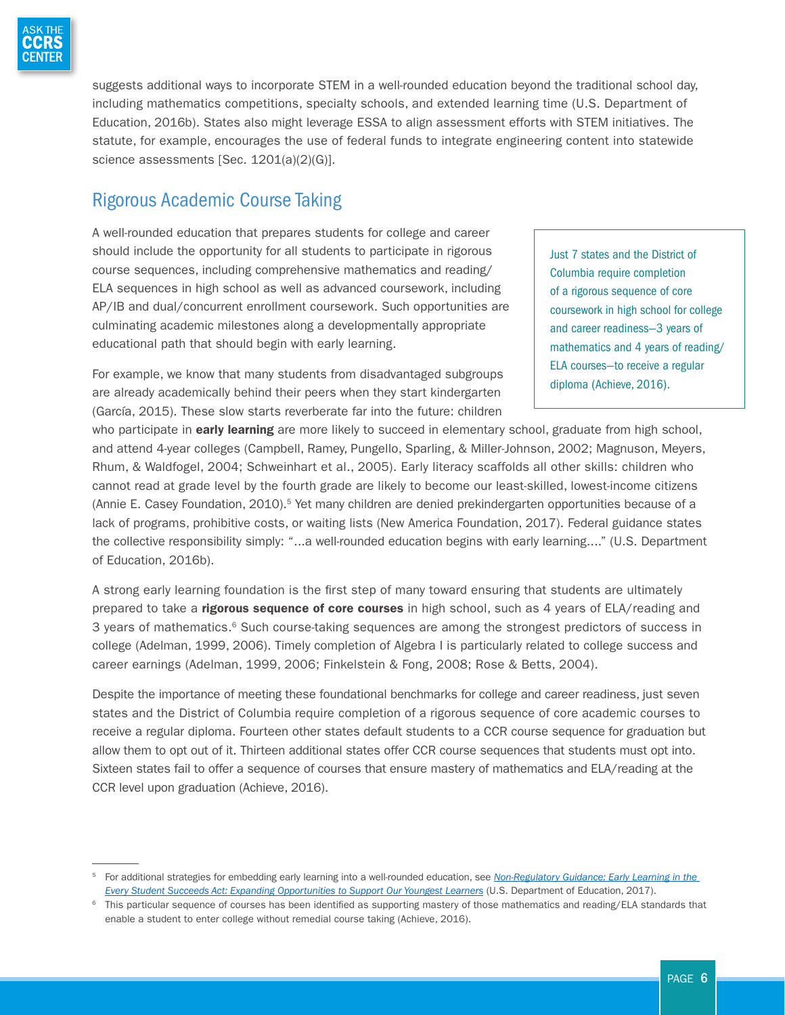

suggests additional ways to incorporate STEM in a well-rounded education beyond the traditional school day, including mathematics competitions, specialty schools, and extended learning time (U.S. Department of Education, 2016b). States also might leverage ESSA to align assessment efforts with STEM initiatives. The statute, for example, encourages the use of federal funds to integrate engineering content into statewide science assessments [Sec. 1201(a)(2)(G)].

### Rigorous Academic Course Taking

A well-rounded education that prepares students for college and career should include the opportunity for all students to participate in rigorous course sequences, including comprehensive mathematics and reading/ ELA sequences in high school as well as advanced coursework, including AP/IB and dual/concurrent enrollment coursework. Such opportunities are culminating academic milestones along a developmentally appropriate educational path that should begin with early learning.

Just 7 states and the District of Columbia require completion of a rigorous sequence of core coursework in high school for college and career readiness—3 years of mathematics and 4 years of reading/ ELA courses—to receive a regular diploma (Achieve, 2016).

For example, we know that many students from disadvantaged subgroups are already academically behind their peers when they start kindergarten (García, 2015). These slow starts reverberate far into the future: children

who participate in early learning are more likely to succeed in elementary school, graduate from high school, and attend 4-year colleges (Campbell, Ramey, Pungello, Sparling, & Miller-Johnson, 2002; Magnuson, Meyers, Rhum, & Waldfogel, 2004; Schweinhart et al., 2005). Early literacy scaffolds all other skills: children who cannot read at grade level by the fourth grade are likely to become our least-skilled, lowest-income citizens (Annie E. Casey Foundation, 2010).<sup>5</sup> Yet many children are denied prekindergarten opportunities because of a lack of programs, prohibitive costs, or waiting lists (New America Foundation, 2017). Federal guidance states the collective responsibility simply: "...a well-rounded education begins with early learning...." (U.S. Department of Education, 2016b).

A strong early learning foundation is the first step of many toward ensuring that students are ultimately prepared to take a *rigorous sequence of core courses* in high school, such as 4 years of ELA/reading and 3 years of mathematics.<sup>6</sup> Such course-taking sequences are among the strongest predictors of success in college (Adelman, 1999, 2006). Timely completion of Algebra I is particularly related to college success and career earnings (Adelman, 1999, 2006; Finkelstein & Fong, 2008; Rose & Betts, 2004).

Despite the importance of meeting these foundational benchmarks for college and career readiness, just seven states and the District of Columbia require completion of a rigorous sequence of core academic courses to receive a regular diploma. Fourteen other states default students to a CCR course sequence for graduation but allow them to opt out of it. Thirteen additional states offer CCR course sequences that students must opt into. Sixteen states fail to offer a sequence of courses that ensure mastery of mathematics and ELA/reading at the CCR level upon graduation (Achieve, 2016).

<sup>5</sup> For additional strategies for embedding early learning into a well-rounded education, see *[Non-Regulatory Guidance: Early Learning in the](https://www2.ed.gov/policy/elsec/leg/essa/essaelguidance11717.pdf)  [Every Student Succeeds Act: Expanding Opportunities to Support Our Youngest Learners](https://www2.ed.gov/policy/elsec/leg/essa/essaelguidance11717.pdf)* (U.S. Department of Education, 2017).

<sup>&</sup>lt;sup>6</sup> This particular sequence of courses has been identified as supporting mastery of those mathematics and reading/ELA standards that enable a student to enter college without remedial course taking (Achieve, 2016).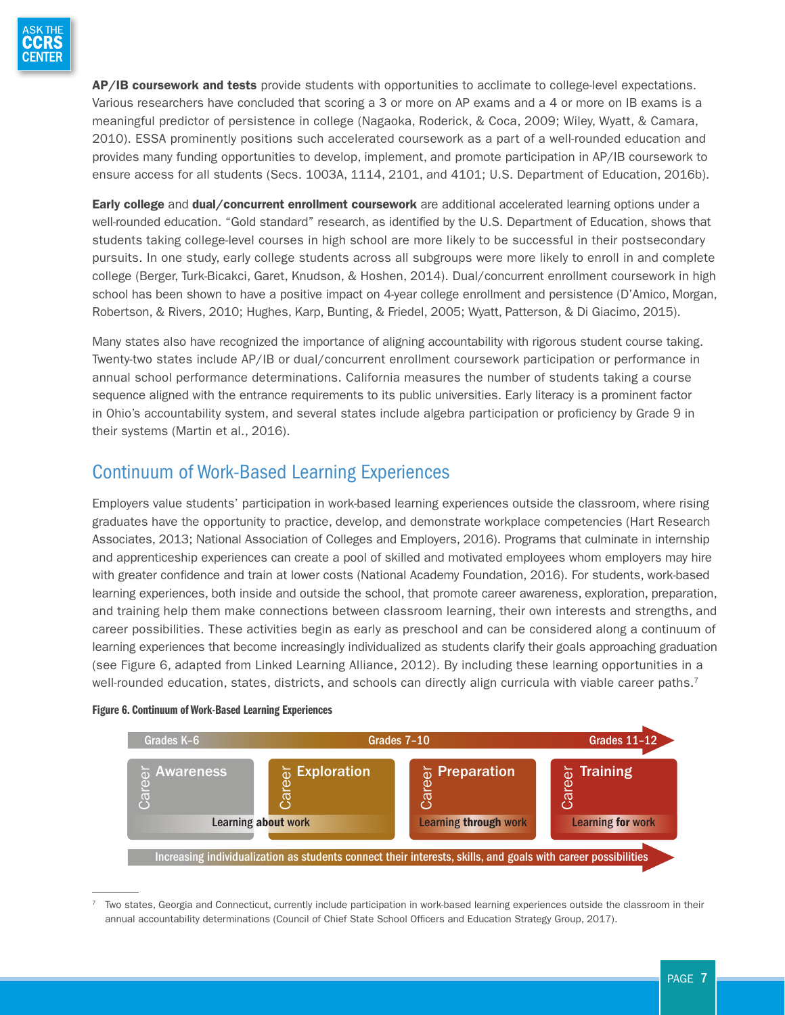AP/IB coursework and tests provide students with opportunities to acclimate to college-level expectations. Various researchers have concluded that scoring a 3 or more on AP exams and a 4 or more on IB exams is a meaningful predictor of persistence in college (Nagaoka, Roderick, & Coca, 2009; Wiley, Wyatt, & Camara, 2010). ESSA prominently positions such accelerated coursework as a part of a well-rounded education and provides many funding opportunities to develop, implement, and promote participation in AP/IB coursework to ensure access for all students (Secs. 1003A, 1114, 2101, and 4101; U.S. Department of Education, 2016b).

Early college and dual/concurrent enrollment coursework are additional accelerated learning options under a well-rounded education. "Gold standard" research, as identified by the U.S. Department of Education, shows that students taking college-level courses in high school are more likely to be successful in their postsecondary pursuits. In one study, early college students across all subgroups were more likely to enroll in and complete college (Berger, Turk-Bicakci, Garet, Knudson, & Hoshen, 2014). Dual/concurrent enrollment coursework in high school has been shown to have a positive impact on 4-year college enrollment and persistence (D'Amico, Morgan, Robertson, & Rivers, 2010; Hughes, Karp, Bunting, & Friedel, 2005; Wyatt, Patterson, & Di Giacimo, 2015).

Many states also have recognized the importance of aligning accountability with rigorous student course taking. Twenty-two states include AP/IB or dual/concurrent enrollment coursework participation or performance in annual school performance determinations. California measures the number of students taking a course sequence aligned with the entrance requirements to its public universities. Early literacy is a prominent factor in Ohio's accountability system, and several states include algebra participation or proficiency by Grade 9 in their systems (Martin et al., 2016).

### Continuum of Work-Based Learning Experiences

Employers value students' participation in work-based learning experiences outside the classroom, where rising graduates have the opportunity to practice, develop, and demonstrate workplace competencies (Hart Research Associates, 2013; National Association of Colleges and Employers, 2016). Programs that culminate in internship and apprenticeship experiences can create a pool of skilled and motivated employees whom employers may hire with greater confidence and train at lower costs (National Academy Foundation, 2016). For students, work-based learning experiences, both inside and outside the school, that promote career awareness, exploration, preparation, and training help them make connections between classroom learning, their own interests and strengths, and career possibilities. These activities begin as early as preschool and can be considered along a continuum of learning experiences that become increasingly individualized as students clarify their goals approaching graduation (see Figure 6, adapted from Linked Learning Alliance, 2012). By including these learning opportunities in a well-rounded education, states, districts, and schools can directly align curricula with viable career paths.<sup>7</sup>



#### Figure 6. Continuum of Work-Based Learning Experiences

<sup>7</sup> Two states, Georgia and Connecticut, currently include participation in work-based learning experiences outside the classroom in their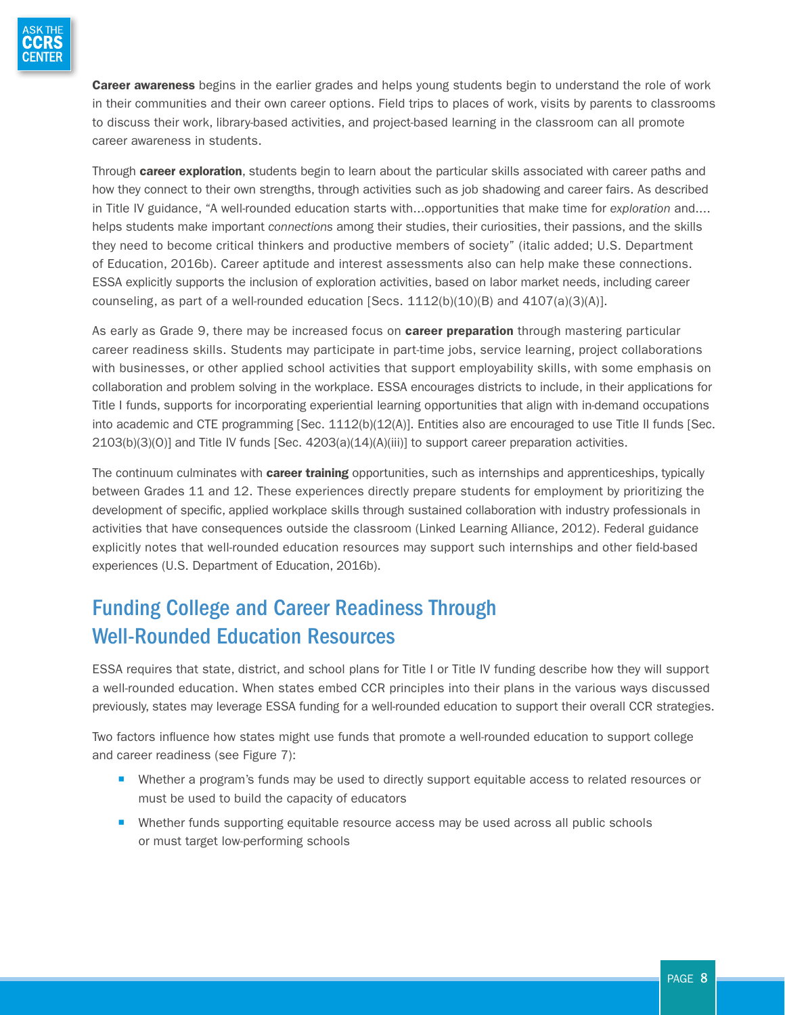

Career awareness begins in the earlier grades and helps young students begin to understand the role of work in their communities and their own career options. Field trips to places of work, visits by parents to classrooms to discuss their work, library-based activities, and project-based learning in the classroom can all promote career awareness in students.

Through **career exploration**, students begin to learn about the particular skills associated with career paths and how they connect to their own strengths, through activities such as job shadowing and career fairs. As described in Title IV guidance, "A well-rounded education starts with...opportunities that make time for *exploration* and.... helps students make important *connections* among their studies, their curiosities, their passions, and the skills they need to become critical thinkers and productive members of society" (italic added; U.S. Department of Education, 2016b). Career aptitude and interest assessments also can help make these connections. ESSA explicitly supports the inclusion of exploration activities, based on labor market needs, including career counseling, as part of a well-rounded education [Secs.  $1112(b)(10)(B)$  and  $4107(a)(3)(A)$ ].

As early as Grade 9, there may be increased focus on **career preparation** through mastering particular career readiness skills. Students may participate in part-time jobs, service learning, project collaborations with businesses, or other applied school activities that support employability skills, with some emphasis on collaboration and problem solving in the workplace. ESSA encourages districts to include, in their applications for Title I funds, supports for incorporating experiential learning opportunities that align with in-demand occupations into academic and CTE programming [Sec. 1112(b)(12(A)]. Entities also are encouraged to use Title II funds [Sec. 2103(b)(3)(O)] and Title IV funds [Sec. 4203(a)(14)(A)(iii)] to support career preparation activities.

The continuum culminates with **career training** opportunities, such as internships and apprenticeships, typically between Grades 11 and 12. These experiences directly prepare students for employment by prioritizing the development of specific, applied workplace skills through sustained collaboration with industry professionals in activities that have consequences outside the classroom (Linked Learning Alliance, 2012). Federal guidance explicitly notes that well-rounded education resources may support such internships and other field-based experiences (U.S. Department of Education, 2016b).

# Funding College and Career Readiness Through Well-Rounded Education Resources

ESSA requires that state, district, and school plans for Title I or Title IV funding describe how they will support a well-rounded education. When states embed CCR principles into their plans in the various ways discussed previously, states may leverage ESSA funding for a well-rounded education to support their overall CCR strategies.

Two factors influence how states might use funds that promote a well-rounded education to support college and career readiness (see Figure 7):

- Whether a program's funds may be used to directly support equitable access to related resources or must be used to build the capacity of educators
- Whether funds supporting equitable resource access may be used across all public schools or must target low-performing schools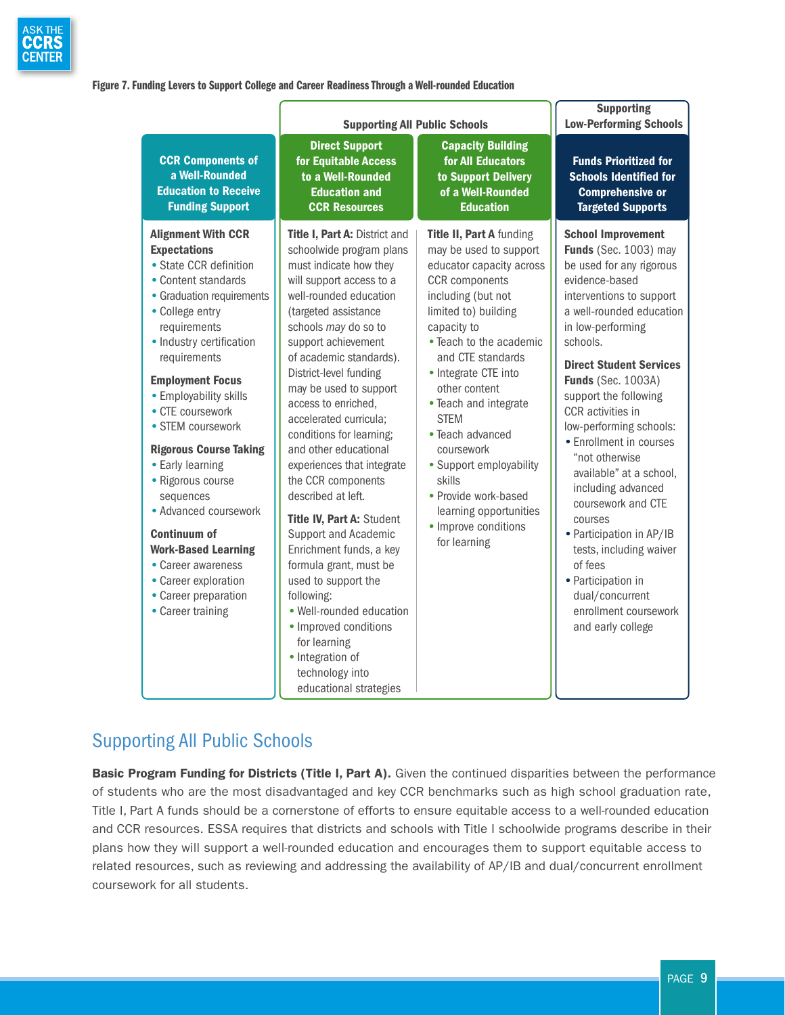

#### Figure 7. Funding Levers to Support College and Career Readiness Through a Well-rounded Education

|                                                                                                                                                                                                                                                                                                                                                                                                                                                                                                                                                                             | <b>Supporting All Public Schools</b>                                                                                                                                                                                                                                                                                                                                                                                                                                                                                                                                                                                                                                                                                                                                 |                                                                                                                                                                                                                                                                                                                                                                                                                                                                        | <b>Supporting</b><br><b>Low-Performing Schools</b>                                                                                                                                                                                                                                                                                                                                                                                                                                                                                                                                                                        |
|-----------------------------------------------------------------------------------------------------------------------------------------------------------------------------------------------------------------------------------------------------------------------------------------------------------------------------------------------------------------------------------------------------------------------------------------------------------------------------------------------------------------------------------------------------------------------------|----------------------------------------------------------------------------------------------------------------------------------------------------------------------------------------------------------------------------------------------------------------------------------------------------------------------------------------------------------------------------------------------------------------------------------------------------------------------------------------------------------------------------------------------------------------------------------------------------------------------------------------------------------------------------------------------------------------------------------------------------------------------|------------------------------------------------------------------------------------------------------------------------------------------------------------------------------------------------------------------------------------------------------------------------------------------------------------------------------------------------------------------------------------------------------------------------------------------------------------------------|---------------------------------------------------------------------------------------------------------------------------------------------------------------------------------------------------------------------------------------------------------------------------------------------------------------------------------------------------------------------------------------------------------------------------------------------------------------------------------------------------------------------------------------------------------------------------------------------------------------------------|
| <b>CCR Components of</b><br>a Well-Rounded<br><b>Education to Receive</b><br><b>Funding Support</b>                                                                                                                                                                                                                                                                                                                                                                                                                                                                         | <b>Direct Support</b><br>for Equitable Access<br>to a Well-Rounded<br><b>Education and</b><br><b>CCR Resources</b>                                                                                                                                                                                                                                                                                                                                                                                                                                                                                                                                                                                                                                                   | <b>Capacity Building</b><br>for All Educators<br>to Support Delivery<br>of a Well-Rounded<br><b>Education</b>                                                                                                                                                                                                                                                                                                                                                          | <b>Funds Prioritized for</b><br><b>Schools Identified for</b><br><b>Comprehensive or</b><br><b>Targeted Supports</b>                                                                                                                                                                                                                                                                                                                                                                                                                                                                                                      |
| <b>Alignment With CCR</b><br><b>Expectations</b><br>• State CCR definition<br>• Content standards<br>• Graduation requirements<br>• College entry<br>requirements<br>• Industry certification<br>requirements<br><b>Employment Focus</b><br>• Employability skills<br>• CTE coursework<br>• STEM coursework<br><b>Rigorous Course Taking</b><br>• Early learning<br>· Rigorous course<br>sequences<br>• Advanced coursework<br><b>Continuum of</b><br><b>Work-Based Learning</b><br>• Career awareness<br>• Career exploration<br>• Career preparation<br>• Career training | Title I, Part A: District and<br>schoolwide program plans<br>must indicate how they<br>will support access to a<br>well-rounded education<br>(targeted assistance<br>schools may do so to<br>support achievement<br>of academic standards).<br>District-level funding<br>may be used to support<br>access to enriched,<br>accelerated curricula;<br>conditions for learning;<br>and other educational<br>experiences that integrate<br>the CCR components<br>described at left.<br>Title IV, Part A: Student<br>Support and Academic<br>Enrichment funds, a key<br>formula grant, must be<br>used to support the<br>following:<br>· Well-rounded education<br>• Improved conditions<br>for learning<br>• Integration of<br>technology into<br>educational strategies | Title II, Part A funding<br>may be used to support<br>educator capacity across<br><b>CCR</b> components<br>including (but not<br>limited to) building<br>capacity to<br>• Teach to the academic<br>and CTE standards<br>• Integrate CTE into<br>other content<br>• Teach and integrate<br><b>STEM</b><br>• Teach advanced<br>coursework<br>• Support employability<br>skills<br>• Provide work-based<br>learning opportunities<br>• Improve conditions<br>for learning | <b>School Improvement</b><br>Funds (Sec. 1003) may<br>be used for any rigorous<br>evidence-based<br>interventions to support<br>a well-rounded education<br>in low-performing<br>schools.<br><b>Direct Student Services</b><br><b>Funds</b> (Sec. 1003A)<br>support the following<br>CCR activities in<br>low-performing schools:<br>• Enrollment in courses<br>"not otherwise<br>available" at a school,<br>including advanced<br>coursework and CTE<br>courses<br>• Participation in AP/IB<br>tests, including waiver<br>of fees<br>• Participation in<br>dual/concurrent<br>enrollment coursework<br>and early college |

### Supporting All Public Schools

Basic Program Funding for Districts (Title I, Part A). Given the continued disparities between the performance of students who are the most disadvantaged and key CCR benchmarks such as high school graduation rate, Title I, Part A funds should be a cornerstone of efforts to ensure equitable access to a well-rounded education and CCR resources. ESSA requires that districts and schools with Title I schoolwide programs describe in their plans how they will support a well-rounded education and encourages them to support equitable access to related resources, such as reviewing and addressing the availability of AP/IB and dual/concurrent enrollment coursework for all students.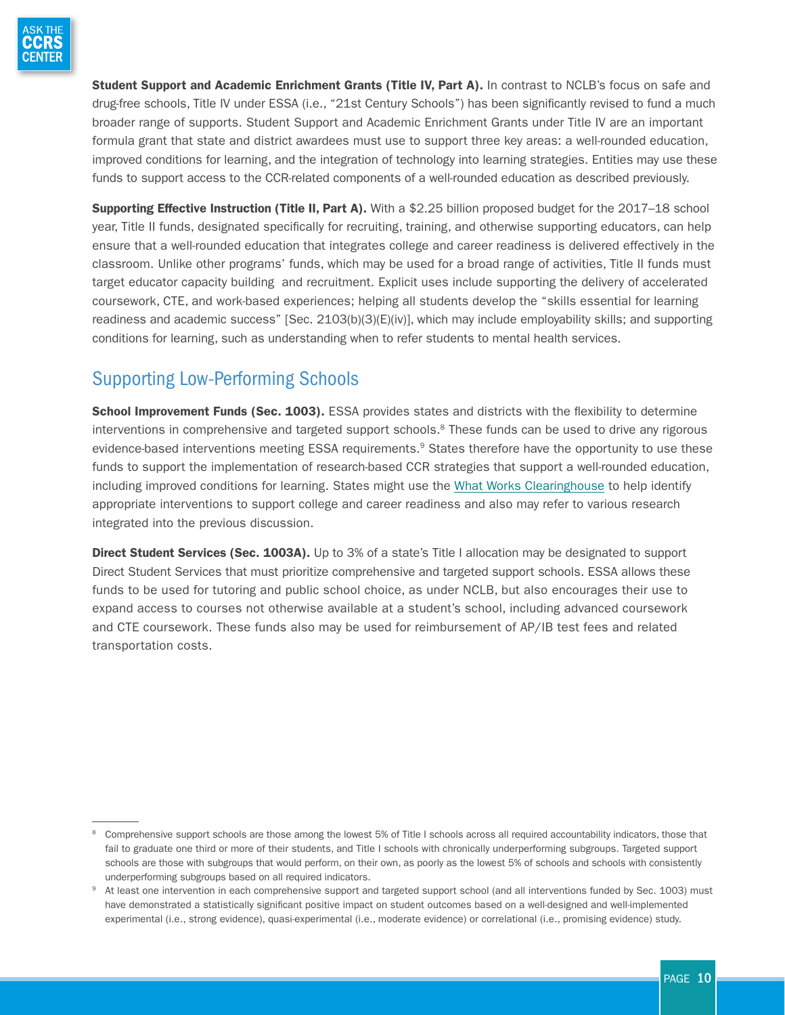

Student Support and Academic Enrichment Grants (Title IV, Part A). In contrast to NCLB's focus on safe and drug-free schools, Title IV under ESSA (i.e., "21st Century Schools") has been significantly revised to fund a much broader range of supports. Student Support and Academic Enrichment Grants under Title IV are an important formula grant that state and district awardees must use to support three key areas: a well-rounded education, improved conditions for learning, and the integration of technology into learning strategies. Entities may use these funds to support access to the CCR-related components of a well-rounded education as described previously.

Supporting Effective Instruction (Title II, Part A). With a \$2.25 billion proposed budget for the 2017–18 school year, Title II funds, designated specifically for recruiting, training, and otherwise supporting educators, can help ensure that a well-rounded education that integrates college and career readiness is delivered effectively in the classroom. Unlike other programs' funds, which may be used for a broad range of activities, Title II funds must target educator capacity building and recruitment. Explicit uses include supporting the delivery of accelerated coursework, CTE, and work-based experiences; helping all students develop the "skills essential for learning readiness and academic success" [Sec. 2103(b)(3)(E)(iv)], which may include employability skills; and supporting conditions for learning, such as understanding when to refer students to mental health services.

## Supporting Low-Performing Schools

School Improvement Funds (Sec. 1003). ESSA provides states and districts with the flexibility to determine interventions in comprehensive and targeted support schools.<sup>8</sup> These funds can be used to drive any rigorous evidence-based interventions meeting ESSA requirements.<sup>9</sup> States therefore have the opportunity to use these funds to support the implementation of research-based CCR strategies that support a well-rounded education, including improved conditions for learning. States might use the [What Works Clearinghouse](https://ies.ed.gov/ncee/wwc/) to help identify appropriate interventions to support college and career readiness and also may refer to various research integrated into the previous discussion.

**Direct Student Services (Sec. 1003A).** Up to 3% of a state's Title I allocation may be designated to support Direct Student Services that must prioritize comprehensive and targeted support schools. ESSA allows these funds to be used for tutoring and public school choice, as under NCLB, but also encourages their use to expand access to courses not otherwise available at a student's school, including advanced coursework and CTE coursework. These funds also may be used for reimbursement of AP/IB test fees and related transportation costs.

<sup>&</sup>lt;sup>8</sup> Comprehensive support schools are those among the lowest 5% of Title I schools across all required accountability indicators, those that fail to graduate one third or more of their students, and Title I schools with chronically underperforming subgroups. Targeted support schools are those with subgroups that would perform, on their own, as poorly as the lowest 5% of schools and schools with consistently underperforming subgroups based on all required indicators.

<sup>9</sup> At least one intervention in each comprehensive support and targeted support school (and all interventions funded by Sec. 1003) must have demonstrated a statistically significant positive impact on student outcomes based on a well-designed and well-implemented experimental (i.e., strong evidence), quasi-experimental (i.e., moderate evidence) or correlational (i.e., promising evidence) study.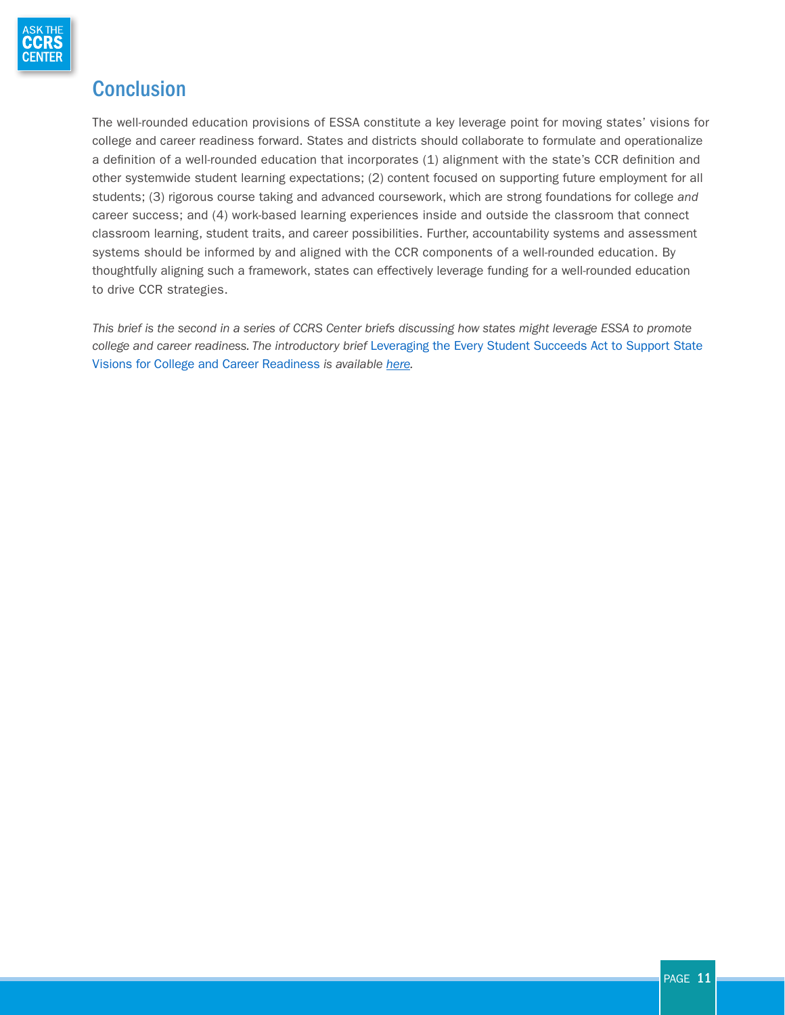

## **Conclusion**

The well-rounded education provisions of ESSA constitute a key leverage point for moving states' visions for college and career readiness forward. States and districts should collaborate to formulate and operationalize a definition of a well-rounded education that incorporates (1) alignment with the state's CCR definition and other systemwide student learning expectations; (2) content focused on supporting future employment for all students; (3) rigorous course taking and advanced coursework, which are strong foundations for college *and* career success; and (4) work-based learning experiences inside and outside the classroom that connect classroom learning, student traits, and career possibilities. Further, accountability systems and assessment systems should be informed by and aligned with the CCR components of a well-rounded education. By thoughtfully aligning such a framework, states can effectively leverage funding for a well-rounded education to drive CCR strategies.

*This brief is the second in a series of CCRS Center briefs discussing how states might leverage ESSA to promote college and career readiness. The introductory brief* Leveraging the Every Student Succeeds Act to Support State Visions for College and Career Readiness *is available [here](http://www.ccrscenter.org/sites/default/files/AskCCRS_LeveragingESSA.pdf).*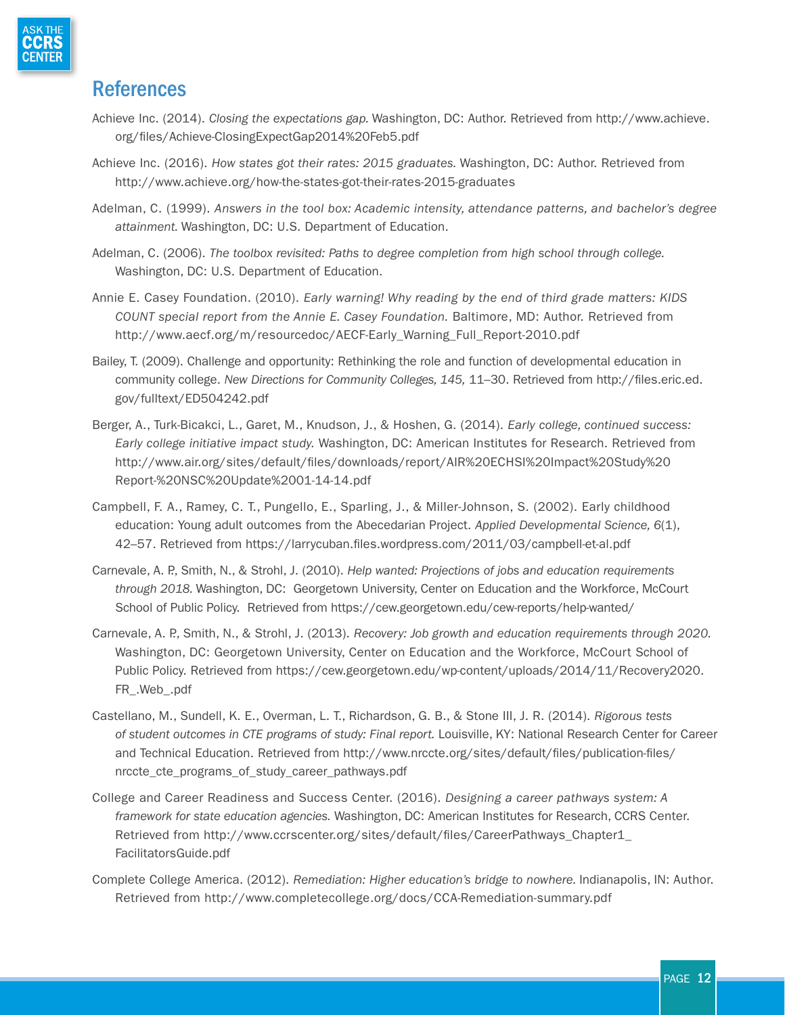

### References

- Achieve Inc. (2014). *Closing the expectations gap.* Washington, DC: Author. Retrieved from [http://www.achieve.](http://www.achieve.org/files/Achieve-ClosingExpectGap2014%20Feb5.pdf) [org/files/Achieve-ClosingExpectGap2014%20Feb5.pdf](http://www.achieve.org/files/Achieve-ClosingExpectGap2014%20Feb5.pdf)
- Achieve Inc. (2016). *How states got their rates: 2015 graduates.* Washington, DC: Author. Retrieved from <http://www.achieve.org/how-the-states-got-their-rates-2015-graduates>
- Adelman, C. (1999). *Answers in the tool box: Academic intensity, attendance patterns, and bachelor's degree attainment.* Washington, DC: U.S. Department of Education.
- Adelman, C. (2006). *The toolbox revisited: Paths to degree completion from high school through college.*  Washington, DC: U.S. Department of Education.
- Annie E. Casey Foundation. (2010). *Early warning! Why reading by the end of third grade matters: KIDS COUNT special report from the Annie E. Casey Foundation.* Baltimore, MD: Author. Retrieved from http://www.aecf.org/m/resourcedoc/AECF-Early\_Warning\_Full\_Report-2010.pdf
- Bailey, T. (2009). Challenge and opportunity: Rethinking the role and function of developmental education in community college. *New Directions for Community Colleges, 145,* 11–30. Retrieved from [http://files.eric.ed.](http://files.eric.ed.gov/fulltext/ED504242.pdf) [gov/fulltext/ED504242.pdf](http://files.eric.ed.gov/fulltext/ED504242.pdf)
- Berger, A., Turk-Bicakci, L., Garet, M., Knudson, J., & Hoshen, G. (2014). *Early college, continued success: Early college initiative impact study.* Washington, DC: American Institutes for Research. Retrieved from [http://www.air.org/sites/default/files/downloads/report/AIR%20ECHSI%20Impact%20Study%20](http://www.air.org/sites/default/files/downloads/report/AIR%20ECHSI%20Impact%20Study%20Report-%20NSC%20Update%2001-14-14.pdf) [Report-%20NSC%20Update%2001-14-14.pdf](http://www.air.org/sites/default/files/downloads/report/AIR%20ECHSI%20Impact%20Study%20Report-%20NSC%20Update%2001-14-14.pdf)
- Campbell, F. A., Ramey, C. T., Pungello, E., Sparling, J., & Miller-Johnson, S. (2002). Early childhood education: Young adult outcomes from the Abecedarian Project. *Applied Developmental Science, 6*(1), 42–57. Retrieved from <https://larrycuban.files.wordpress.com/2011/03/campbell-et-al.pdf>
- Carnevale, A. P., Smith, N., & Strohl, J. (2010). *Help wanted: Projections of jobs and education requirements through 2018.* Washington, DC: Georgetown University, Center on Education and the Workforce, McCourt School of Public Policy. Retrieved from<https://cew.georgetown.edu/cew-reports/help-wanted/>
- Carnevale, A. P., Smith, N., & Strohl, J. (2013). *Recovery: Job growth and education requirements through 2020.* Washington, DC: Georgetown University, Center on Education and the Workforce, McCourt School of Public Policy. Retrieved from [https://cew.georgetown.edu/wp-content/uploads/2014/11/Recovery2020.](https://cew.georgetown.edu/wp-content/uploads/2014/11/Recovery2020.FR_.Web_.pdf) [FR\\_.Web\\_.pdf](https://cew.georgetown.edu/wp-content/uploads/2014/11/Recovery2020.FR_.Web_.pdf)
- Castellano, M., Sundell, K. E., Overman, L. T., Richardson, G. B., & Stone III, J. R. (2014). *Rigorous tests of student outcomes in CTE programs of study: Final report.* Louisville, KY: National Research Center for Career and Technical Education. Retrieved from [http://www.nrccte.org/sites/default/files/publication-files/](http://www.nrccte.org/sites/default/files/publication-files/nrccte_cte_programs_of_study_career_pathways.pdf) nrccte cte programs of study career pathways.pdf
- College and Career Readiness and Success Center. (2016). *Designing a career pathways system: A framework for state education agencies.* Washington, DC: American Institutes for Research, CCRS Center. Retrieved from [http://www.ccrscenter.org/sites/default/files/CareerPathways\\_Chapter1\\_](http://www.ccrscenter.org/sites/default/files/CareerPathways_Chapter1_FacilitatorsGuide.pdf) [FacilitatorsGuide.pdf](http://www.ccrscenter.org/sites/default/files/CareerPathways_Chapter1_FacilitatorsGuide.pdf)
- Complete College America. (2012). *Remediation: Higher education's bridge to nowhere.* Indianapolis, IN: Author. Retrieved from <http://www.completecollege.org/docs/CCA-Remediation-summary.pdf>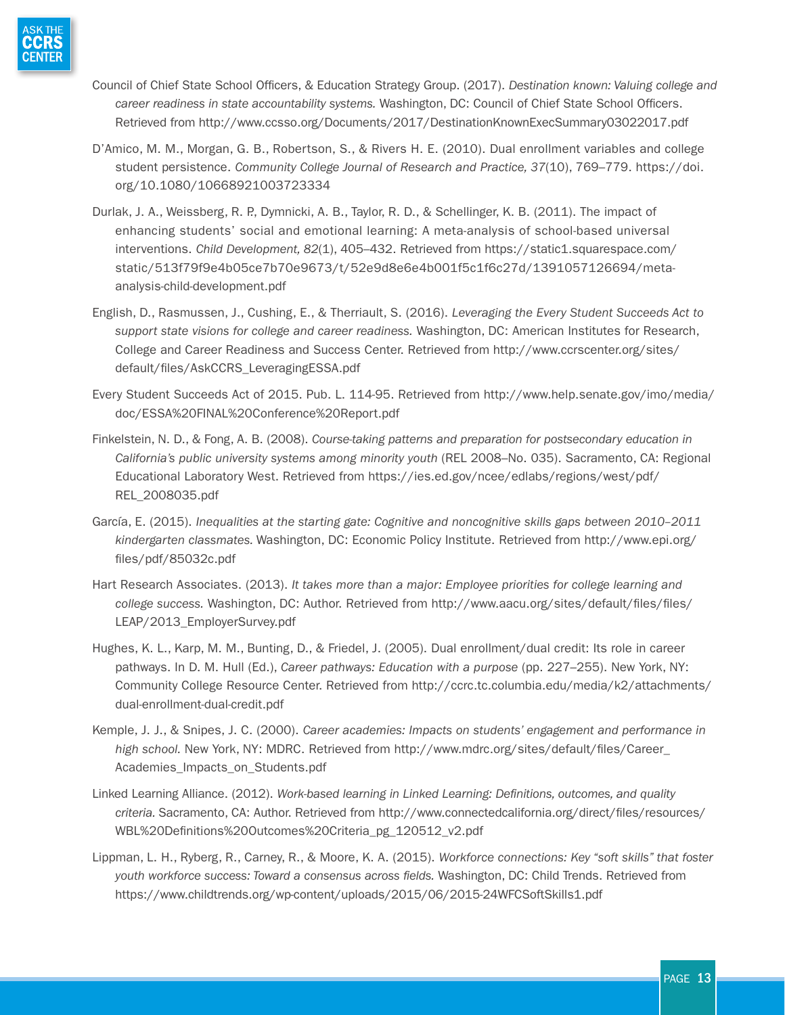

- Council of Chief State School Officers, & Education Strategy Group. (2017). *Destination known: Valuing college and career readiness in state accountability systems.* Washington, DC: Council of Chief State School Officers. Retrieved from<http://www.ccsso.org/Documents/2017/DestinationKnownExecSummary03022017.pdf>
- D'Amico, M. M., Morgan, G. B., Robertson, S., & Rivers H. E. (2010). Dual enrollment variables and college student persistence. *Community College Journal of Research and Practice, 37*(10), 769–779. [https://doi.](https://doi.org/10.1080/10668921003723334) [org/10.1080/10668921003723334](https://doi.org/10.1080/10668921003723334)
- Durlak, J. A., Weissberg, R. P., Dymnicki, A. B., Taylor, R. D., & Schellinger, K. B. (2011). The impact of enhancing students' social and emotional learning: A meta-analysis of school-based universal interventions. *Child Development, 82*(1), 405–432. Retrieved from [https://static1.squarespace.com/](https://static1.squarespace.com/static/513f79f9e4b05ce7b70e9673/t/52e9d8e6e4b001f5c1f6c27d/1391057126694/meta-analysis-child-development.pdf) [static/513f79f9e4b05ce7b70e9673/t/52e9d8e6e4b001f5c1f6c27d/1391057126694/meta](https://static1.squarespace.com/static/513f79f9e4b05ce7b70e9673/t/52e9d8e6e4b001f5c1f6c27d/1391057126694/meta-analysis-child-development.pdf)[analysis-child-development.pdf](https://static1.squarespace.com/static/513f79f9e4b05ce7b70e9673/t/52e9d8e6e4b001f5c1f6c27d/1391057126694/meta-analysis-child-development.pdf)
- English, D., Rasmussen, J., Cushing, E., & Therriault, S. (2016). *Leveraging the Every Student Succeeds Act to support state visions for college and career readiness.* Washington, DC: American Institutes for Research, College and Career Readiness and Success Center. Retrieved from [http://www.ccrscenter.org/sites/](http://www.ccrscenter.org/sites/default/files/AskCCRS_LeveragingESSA.pdf) [default/files/AskCCRS\\_LeveragingESSA.pdf](http://www.ccrscenter.org/sites/default/files/AskCCRS_LeveragingESSA.pdf)
- Every Student Succeeds Act of 2015. Pub. L. 114-95. Retrieved from [http://www.help.senate.gov/imo/media/](http://www.help.senate.gov/imo/media/doc/ESSA%20FINAL%20Conference%20Report.pdf) [doc/ESSA%20FINAL%20Conference%20Report.pdf](http://www.help.senate.gov/imo/media/doc/ESSA%20FINAL%20Conference%20Report.pdf)
- Finkelstein, N. D., & Fong, A. B. (2008). *Course-taking patterns and preparation for postsecondary education in California's public university systems among minority youth* (REL 2008–No. 035). Sacramento, CA: Regional Educational Laboratory West. Retrieved from [https://ies.ed.gov/ncee/edlabs/regions/west/pdf/](https://ies.ed.gov/ncee/edlabs/regions/west/pdf/REL_2008035.pdf) [REL\\_2008035.pdf](https://ies.ed.gov/ncee/edlabs/regions/west/pdf/REL_2008035.pdf)
- García, E. (2015). *Inequalities at the starting gate: Cognitive and noncognitive skills gaps between 2010–2011 kindergarten classmates.* Washington, DC: Economic Policy Institute. Retrieved from [http://www.epi.org/](http://www.epi.org/files/pdf/85032c.pdf) [files/pdf/85032c.pdf](http://www.epi.org/files/pdf/85032c.pdf)
- Hart Research Associates. (2013). *It takes more than a major: Employee priorities for college learning and college success.* Washington, DC: Author. Retrieved from [http://www.aacu.org/sites/default/files/files/](http://www.aacu.org/sites/default/files/files/LEAP/2013_EmployerSurvey.pdf) LEAP/2013 EmployerSurvey.pdf
- Hughes, K. L., Karp, M. M., Bunting, D., & Friedel, J. (2005). Dual enrollment/dual credit: Its role in career pathways. In D. M. Hull (Ed.), *Career pathways: Education with a purpose* (pp. 227–255). New York, NY: Community College Resource Center. Retrieved from [http://ccrc.tc.columbia.edu/media/k2/attachments/](http://ccrc.tc.columbia.edu/media/k2/attachments/dual-enrollment-dual-credit.pdf) [dual-enrollment-dual-credit.pdf](http://ccrc.tc.columbia.edu/media/k2/attachments/dual-enrollment-dual-credit.pdf)
- Kemple, J. J., & Snipes, J. C. (2000). *Career academies: Impacts on students' engagement and performance in high school.* New York, NY: MDRC. Retrieved from [http://www.mdrc.org/sites/default/files/Career\\_](http://www.mdrc.org/sites/default/files/Career_Academies_Impacts_on_Students.pdf) Academies Impacts on Students.pdf
- Linked Learning Alliance. (2012). *Work-based learning in Linked Learning: Definitions, outcomes, and quality criteria.* Sacramento, CA: Author. Retrieved from [http://www.connectedcalifornia.org/direct/files/resources/](http://www.connectedcalifornia.org/direct/files/resources/WBL%20Definitions%20Outcomes%20Criteria_pg_120512_v2.pdf) [WBL%20Definitions%20Outcomes%20Criteria\\_pg\\_120512\\_v2.pdf](http://www.connectedcalifornia.org/direct/files/resources/WBL%20Definitions%20Outcomes%20Criteria_pg_120512_v2.pdf)
- Lippman, L. H., Ryberg, R., Carney, R., & Moore, K. A. (2015). *Workforce connections: Key "soft skills" that foster youth workforce success: Toward a consensus across fields.* Washington, DC: Child Trends. Retrieved from <https://www.childtrends.org/wp-content/uploads/2015/06/2015-24WFCSoftSkills1.pdf>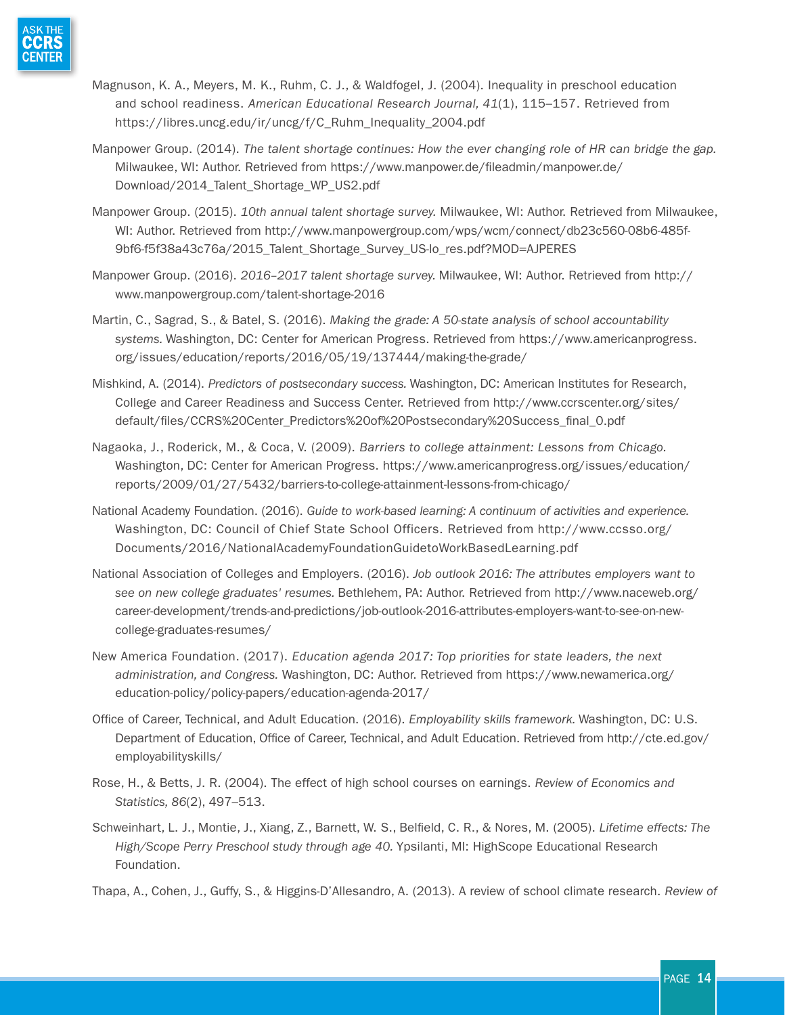

- Magnuson, K. A., Meyers, M. K., Ruhm, C. J., & Waldfogel, J. (2004). Inequality in preschool education and school readiness. *American Educational Research Journal, 41*(1), 115–157. Retrieved from [https://libres.uncg.edu/ir/uncg/f/C\\_Ruhm\\_Inequality\\_2004.pdf](https://libres.uncg.edu/ir/uncg/f/C_Ruhm_Inequality_2004.pdf)
- Manpower Group. (2014). *The talent shortage continues: How the ever changing role of HR can bridge the gap.*  Milwaukee, WI: Author. Retrieved from [https://www.manpower.de/fileadmin/manpower.de/](https://www.manpower.de/fileadmin/manpower.de/Download/2014_Talent_Shortage_WP_US2.pdf) [Download/2014\\_Talent\\_Shortage\\_WP\\_US2.pdf](https://www.manpower.de/fileadmin/manpower.de/Download/2014_Talent_Shortage_WP_US2.pdf)
- Manpower Group. (2015). *10th annual talent shortage survey.* Milwaukee, WI: Author. Retrieved from Milwaukee, WI: Author. Retrieved from [http://www.manpowergroup.com/wps/wcm/connect/db23c560-08b6-485f-](http://www.manpowergroup.com/wps/wcm/connect/db23c560-08b6-485f-9bf6-f5f38a43c76a/2015_Talent_Shortage_Survey_US-lo_res.pdf?MOD=AJPERES)[9bf6-f5f38a43c76a/2015\\_Talent\\_Shortage\\_Survey\\_US-lo\\_res.pdf?MOD=AJPERES](http://www.manpowergroup.com/wps/wcm/connect/db23c560-08b6-485f-9bf6-f5f38a43c76a/2015_Talent_Shortage_Survey_US-lo_res.pdf?MOD=AJPERES)
- Manpower Group. (2016). *2016–2017 talent shortage survey.* Milwaukee, WI: Author. Retrieved from [http://](http://www.manpowergroup.com/talent-shortage-2016) [www.manpowergroup.com/talent-shortage-2016](http://www.manpowergroup.com/talent-shortage-2016)
- Martin, C., Sagrad, S., & Batel, S. (2016). *Making the grade: A 50-state analysis of school accountability systems.* Washington, DC: Center for American Progress. Retrieved from [https://www.americanprogress.](https://www.americanprogress.org/issues/education/reports/2016/05/19/137444/making-the-grade/) [org/issues/education/reports/2016/05/19/137444/making-the-grade/](https://www.americanprogress.org/issues/education/reports/2016/05/19/137444/making-the-grade/)
- Mishkind, A. (2014). *Predictors of postsecondary success.* Washington, DC: American Institutes for Research, College and Career Readiness and Success Center. Retrieved from [http://www.ccrscenter.org/sites/](http://www.ccrscenter.org/sites/default/files/CCRS%20Center_Predictors%20of%20Postsecondary%20Success_final_0.pdf) [default/files/CCRS%20Center\\_Predictors%20of%20Postsecondary%20Success\\_final\\_0.pdf](http://www.ccrscenter.org/sites/default/files/CCRS%20Center_Predictors%20of%20Postsecondary%20Success_final_0.pdf)
- Nagaoka, J., Roderick, M., & Coca, V. (2009). *Barriers to college attainment: Lessons from Chicago.*  Washington, DC: Center for American Progress. [https://www.americanprogress.org/issues/education/](https://www.americanprogress.org/issues/education/reports/2009/01/27/5432/barriers-to-college-attainment-lessons-from-chicago/) [reports/2009/01/27/5432/barriers-to-college-attainment-lessons-from-chicago/](https://www.americanprogress.org/issues/education/reports/2009/01/27/5432/barriers-to-college-attainment-lessons-from-chicago/)
- National Academy Foundation. (2016). *Guide to work-based learning: A continuum of activities and experience.*  Washington, DC: Council of Chief State School Officers. Retrieved from [http://www.ccsso.org/](http://www.ccsso.org/Documents/2016/NationalAcademyFoundationGuidetoWorkBasedLearning.pdf) [Documents/2016/NationalAcademyFoundationGuidetoWorkBasedLearning.pdf](http://www.ccsso.org/Documents/2016/NationalAcademyFoundationGuidetoWorkBasedLearning.pdf)
- National Association of Colleges and Employers. (2016). *Job outlook 2016: The attributes employers want to see on new college graduates' resumes.* Bethlehem, PA: Author. Retrieved from [http://www.naceweb.org/](http://www.naceweb.org/career-development/trends-and-predictions/job-outlook-2016-attributes-employers-want-to-see-on-new-college-graduates-resumes/) [career-development/trends-and-predictions/job-outlook-2016-attributes-employers-want-to-see-on-new](http://www.naceweb.org/career-development/trends-and-predictions/job-outlook-2016-attributes-employers-want-to-see-on-new-college-graduates-resumes/)[college-graduates-resumes/](http://www.naceweb.org/career-development/trends-and-predictions/job-outlook-2016-attributes-employers-want-to-see-on-new-college-graduates-resumes/)
- New America Foundation. (2017). *Education agenda 2017: Top priorities for state leaders, the next administration, and Congress.* Washington, DC: Author. Retrieved from [https://www.newamerica.org/](https://www.newamerica.org/education-policy/policy-papers/education-agenda-2017/) [education-policy/policy-papers/education-agenda-2017/](https://www.newamerica.org/education-policy/policy-papers/education-agenda-2017/)
- Office of Career, Technical, and Adult Education. (2016). *Employability skills framework.* Washington, DC: U.S. Department of Education, Office of Career, Technical, and Adult Education. Retrieved from [http://cte.ed.gov/](http://cte.ed.gov/employabilityskills/) [employabilityskills/](http://cte.ed.gov/employabilityskills/)
- Rose, H., & Betts, J. R. (2004). The effect of high school courses on earnings. *Review of Economics and Statistics, 86*(2), 497–513.
- Schweinhart, L. J., Montie, J., Xiang, Z., Barnett, W. S., Belfield, C. R., & Nores, M. (2005). *Lifetime effects: The*  High/Scope Perry Preschool study through age 40. Ypsilanti, MI: HighScope Educational Research Foundation.

Thapa, A., Cohen, J., Guffy, S., & Higgins-D'Allesandro, A. (2013). A review of school climate research. *Review of*